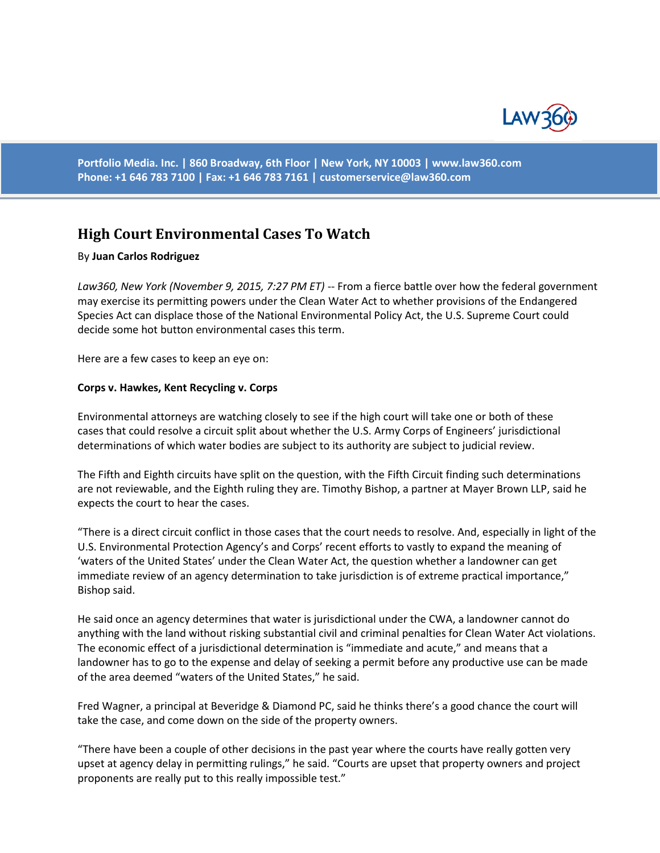

**Portfolio Media. Inc. | 860 Broadway, 6th Floor | New York, NY 10003 | www.law360.com Phone: +1 646 783 7100 | Fax: +1 646 783 7161 | [customerservice@law360.com](mailto:customerservice@law360.com)**

# **High Court Environmental Cases To Watch**

#### By **Juan Carlos Rodriguez**

*Law360, New York (November 9, 2015, 7:27 PM ET)* -- From a fierce battle over how the federal government may exercise its permitting powers under the Clean Water Act to whether provisions of the Endangered Species Act can displace those of the National Environmental Policy Act, the U.S. Supreme Court could decide some hot button environmental cases this term.

Here are a few cases to keep an eye on:

## **Corps v. Hawkes, Kent Recycling v. Corps**

Environmental attorneys are watching closely to see if the high court will take one or both of these cases that could resolve a circuit split about whether the U.S. Army Corps of Engineers' jurisdictional determinations of which water bodies are subject to its authority are subject to judicial review.

The Fifth and Eighth circuits have split on the question, with the Fifth Circuit finding such determinations are not reviewable, and the Eighth ruling they are. Timothy Bishop, a partner at Mayer Brown LLP, said he expects the court to hear the cases.

"There is a direct circuit conflict in those cases that the court needs to resolve. And, especially in light of the U.S. Environmental Protection Agency's and Corps' recent efforts to vastly to expand the meaning of 'waters of the United States' under the Clean Water Act, the question whether a landowner can get immediate review of an agency determination to take jurisdiction is of extreme practical importance," Bishop said.

He said once an agency determines that water is jurisdictional under the CWA, a landowner cannot do anything with the land without risking substantial civil and criminal penalties for Clean Water Act violations. The economic effect of a jurisdictional determination is "immediate and acute," and means that a landowner has to go to the expense and delay of seeking a permit before any productive use can be made of the area deemed "waters of the United States," he said.

Fred Wagner, a principal at Beveridge & Diamond PC, said he thinks there's a good chance the court will take the case, and come down on the side of the property owners.

"There have been a couple of other decisions in the past year where the courts have really gotten very upset at agency delay in permitting rulings," he said. "Courts are upset that property owners and project proponents are really put to this really impossible test."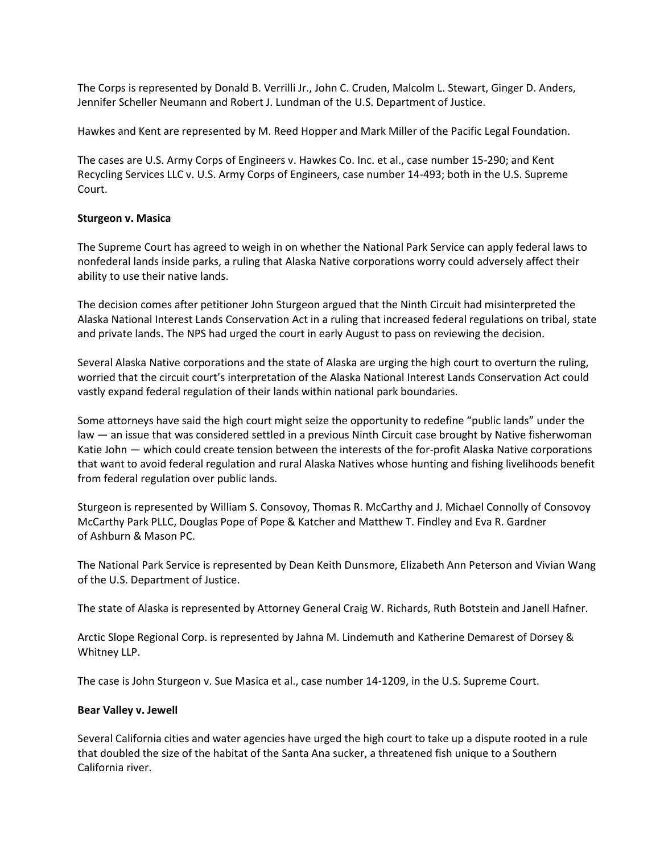The Corps is represented by Donald B. Verrilli Jr., John C. Cruden, Malcolm L. Stewart, Ginger D. Anders, Jennifer Scheller Neumann and Robert J. Lundman of the U.S. Department of Justice.

Hawkes and Kent are represented by M. Reed Hopper and Mark Miller of the Pacific Legal Foundation.

The cases are U.S. Army Corps of Engineers v. Hawkes Co. Inc. et al., case number 15-290; and Kent Recycling Services LLC v. U.S. Army Corps of Engineers, case number 14-493; both in the U.S. Supreme Court.

## **Sturgeon v. Masica**

The Supreme Court has agreed to weigh in on whether the National Park Service can apply federal laws to nonfederal lands inside parks, a ruling that Alaska Native corporations worry could adversely affect their ability to use their native lands.

The decision comes after petitioner John Sturgeon argued that the Ninth Circuit had misinterpreted the Alaska National Interest Lands Conservation Act in a ruling that increased federal regulations on tribal, state and private lands. The NPS had urged the court in early August to pass on reviewing the decision.

Several Alaska Native corporations and the state of Alaska are urging the high court to overturn the ruling, worried that the circuit court's interpretation of the Alaska National Interest Lands Conservation Act could vastly expand federal regulation of their lands within national park boundaries.

Some attorneys have said the high court might seize the opportunity to redefine "public lands" under the law — an issue that was considered settled in a previous Ninth Circuit case brought by Native fisherwoman Katie John — which could create tension between the interests of the for-profit Alaska Native corporations that want to avoid federal regulation and rural Alaska Natives whose hunting and fishing livelihoods benefit from federal regulation over public lands.

Sturgeon is represented by William S. Consovoy, Thomas R. McCarthy and J. Michael Connolly of Consovoy McCarthy Park PLLC, Douglas Pope of Pope & Katcher and Matthew T. Findley and Eva R. Gardner of Ashburn & Mason PC.

The National Park Service is represented by Dean Keith Dunsmore, Elizabeth Ann Peterson and Vivian Wang of the U.S. Department of Justice.

The state of Alaska is represented by Attorney General Craig W. Richards, Ruth Botstein and Janell Hafner.

Arctic Slope Regional Corp. is represented by Jahna M. Lindemuth and Katherine Demarest of Dorsey & Whitney LLP.

The case is John Sturgeon v. Sue Masica et al., case number 14-1209, in the U.S. Supreme Court.

#### **Bear Valley v. Jewell**

Several California cities and water agencies have urged the high court to take up a dispute rooted in a rule that doubled the size of the habitat of the Santa Ana sucker, a threatened fish unique to a Southern California river.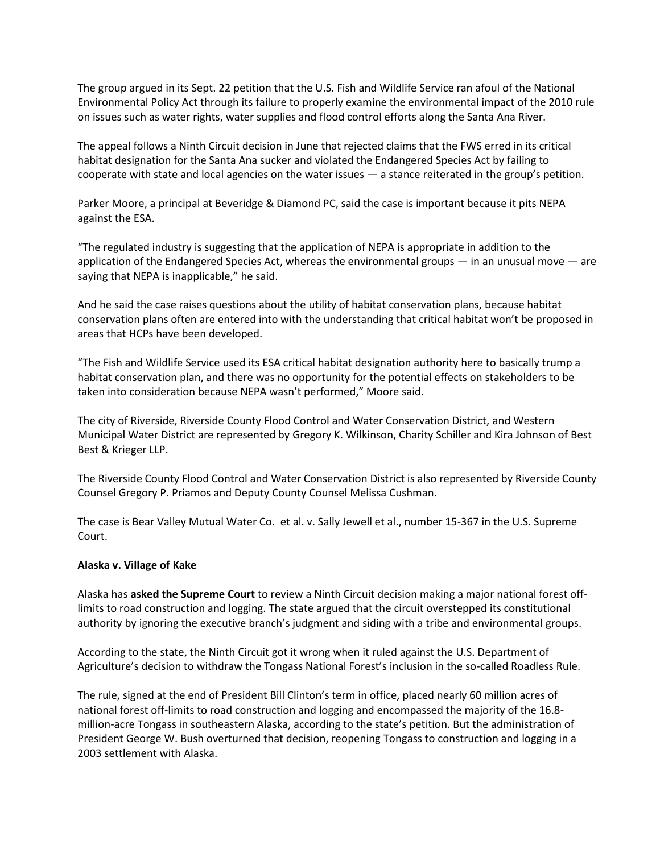The group argued in its Sept. 22 petition that the U.S. Fish and Wildlife Service ran afoul of the National Environmental Policy Act through its failure to properly examine the environmental impact of the 2010 rule on issues such as water rights, water supplies and flood control efforts along the Santa Ana River.

The appeal follows a Ninth Circuit decision in June that rejected claims that the FWS erred in its critical habitat designation for the Santa Ana sucker and violated the Endangered Species Act by failing to cooperate with state and local agencies on the water issues — a stance reiterated in the group's petition.

Parker Moore, a principal at Beveridge & Diamond PC, said the case is important because it pits NEPA against the ESA.

"The regulated industry is suggesting that the application of NEPA is appropriate in addition to the application of the Endangered Species Act, whereas the environmental groups — in an unusual move — are saying that NEPA is inapplicable," he said.

And he said the case raises questions about the utility of habitat conservation plans, because habitat conservation plans often are entered into with the understanding that critical habitat won't be proposed in areas that HCPs have been developed.

"The Fish and Wildlife Service used its ESA critical habitat designation authority here to basically trump a habitat conservation plan, and there was no opportunity for the potential effects on stakeholders to be taken into consideration because NEPA wasn't performed," Moore said.

The city of Riverside, Riverside County Flood Control and Water Conservation District, and Western Municipal Water District are represented by Gregory K. Wilkinson, Charity Schiller and Kira Johnson of Best Best & Krieger LLP.

The Riverside County Flood Control and Water Conservation District is also represented by Riverside County Counsel Gregory P. Priamos and Deputy County Counsel Melissa Cushman.

The case is Bear Valley Mutual Water Co. et al. v. Sally Jewell et al., number 15-367 in the U.S. Supreme Court.

## **Alaska v. Village of Kake**

Alaska has **asked the Supreme Court** to review a Ninth Circuit decision making a major national forest offlimits to road construction and logging. The state argued that the circuit overstepped its constitutional authority by ignoring the executive branch's judgment and siding with a tribe and environmental groups.

According to the state, the Ninth Circuit got it wrong when it ruled against the U.S. Department of Agriculture's decision to withdraw the Tongass National Forest's inclusion in the so-called Roadless Rule.

The rule, signed at the end of President Bill Clinton's term in office, placed nearly 60 million acres of national forest off-limits to road construction and logging and encompassed the majority of the 16.8 million-acre Tongass in southeastern Alaska, according to the state's petition. But the administration of President George W. Bush overturned that decision, reopening Tongass to construction and logging in a 2003 settlement with Alaska.